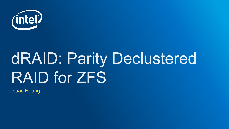

# dRAID: Parity Declustered **RAID for ZFS**

Isaac Huang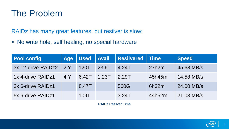#### The Problem

RAIDz has many great features, but resilver is slow:

• No write hole, self healing, no special hardware

| <b>Pool config</b>     | <b>Age</b> | Used  | Avail | <b>Resilvered</b> | <b>Time</b> | <b>Speed</b> |
|------------------------|------------|-------|-------|-------------------|-------------|--------------|
| 3x 12-drive RAIDz2 2 Y |            | 120T  | 23.6T | 4.24T             | 27h2m       | 45.68 MB/s   |
| 1x 4-drive RAIDz1      | 4 Y        | 6.42T | 1.23T | 2.29T             | 45h45m      | 14.58 MB/s   |
| 3x 6-drive RAIDz1      |            | 8.47T |       | 560G              | 6h32m       | 24.00 MB/s   |
| 5x 6-drive RAIDz1      |            | 109T  |       | 3.24T             | 44h52m      | 21.03 MB/s   |

RAIDz Resilver Time

 $\Omega$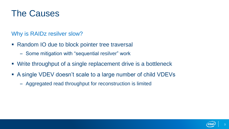#### The Causes

#### Why is RAIDz resilver slow?

- Random IO due to block pointer tree traversal
	- Some mitigation with "sequential resilver" work
- Write throughput of a single replacement drive is a bottleneck
- A single VDEV doesn't scale to a large number of child VDEVs
	- Aggregated read throughput for reconstruction is limited

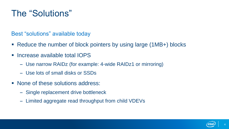# The "Solutions"

Best "solutions" available today

- Reduce the number of block pointers by using large (1MB+) blocks
- **Increase available total IOPS** 
	- Use narrow RAIDz (for example: 4-wide RAIDz1 or mirroring)
	- Use lots of small disks or SSDs
- None of these solutions address:
	- Single replacement drive bottleneck
	- Limited aggregate read throughput from child VDEVs

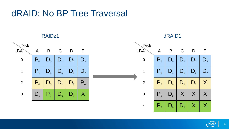### dRAID: No BP Tree Traversal



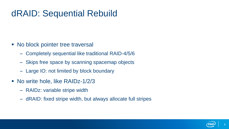# dRAID: Sequential Rebuild

- No block pointer tree traversal
	- Completely sequential like traditional RAID-4/5/6
	- Skips free space by scanning spacemap objects
	- Large IO: not limited by block boundary
- No write hole, like RAIDz-1/2/3
	- RAIDz: variable stripe width
	- dRAID: fixed stripe width, but always allocate full stripes

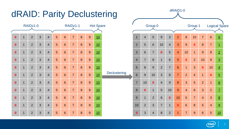| dRAID: Parity Declustering |  |                |   |                |                |   |                | dRAID1-0         |                |                  |                     |                |                 |                |                |                       |                       |                |                   |                       |                 |                      |
|----------------------------|--|----------------|---|----------------|----------------|---|----------------|------------------|----------------|------------------|---------------------|----------------|-----------------|----------------|----------------|-----------------------|-----------------------|----------------|-------------------|-----------------------|-----------------|----------------------|
|                            |  | RAIDz1-0       |   |                |                |   | RAIDz1-1       |                  |                | <b>Hot Spare</b> |                     |                |                 | Group 0        |                |                       |                       |                | Group 1           |                       |                 | <b>Logical Spare</b> |
| $\boldsymbol{\theta}$      |  | $\overline{2}$ | 3 | $\overline{4}$ | 5              | 6 | $\overline{7}$ | 8                | $\overline{9}$ | 10               |                     |                | 4               | 5              | 9              | 3                     | $\overline{2}$        | 8              | 10                | $\overline{7}$        | $6\phantom{1}6$ | $\overline{0}$       |
| $\boldsymbol{\theta}$      |  | $\overline{2}$ | 3 | $\overline{4}$ | 5              | 6 | $\overline{7}$ | 8                | 9              | 10               |                     | $\overline{2}$ | 5               | 6              | 10             | $\overline{4}$        | 3                     | 9              | $\mathbf{\theta}$ | 8                     | $\overline{7}$  | $\overline{1}$       |
| $\mathbf{Q}$               |  | 2              | 3 | $\overline{4}$ | 5              | 6 | $\overline{7}$ | 8                | 9              | 10               |                     | 3              | $6\phantom{1}$  | $\overline{7}$ | $\mathbf{a}$   | 5                     | $\overline{4}$        | 10             | $\overline{1}$    | 9                     | 8               | $\overline{2}$       |
| $\boldsymbol{\theta}$      |  | $\overline{2}$ | 3 | $\overline{4}$ | 5              | 6 | $\overline{7}$ | $\boldsymbol{8}$ | $9$            | 10               |                     | $\overline{4}$ | $\overline{7}$  | 8              | 1              | 6                     | 5                     | $\mathbf{0}$   | $\overline{2}$    | 10                    | 9               | $\overline{3}$       |
| $\boldsymbol{\theta}$      |  | $\overline{2}$ | 3 | $\overline{4}$ | 5              | 6 | $\overline{7}$ | 8                | 9              | 10               |                     | 5              | 8               | 9              | $\overline{2}$ | $\overline{7}$        | 6                     | $\mathbf{1}$   | 3                 | $\boldsymbol{\theta}$ | 10              | $\overline{4}$       |
| $\boldsymbol{\theta}$      |  | $\overline{2}$ | 3 | $\overline{4}$ | 5              | 6 | $\overline{7}$ | 8                | 9              | 10               | <b>Declustering</b> | 6              | 9               | 10             | 3              | 8                     | $\overline{7}$        | $\overline{2}$ | $\overline{4}$    | 1                     | $\mathbf{a}$    | $\overline{5}$       |
| $\boldsymbol{\theta}$      |  | $\overline{2}$ | 3 | $\overline{4}$ | 5              | 6 | $\overline{7}$ | 8                | 9              | 10               |                     | $\overline{7}$ | 10 <sup>1</sup> | $\mathbf{a}$   | $\overline{4}$ | 9                     | 8                     | 3              | 5                 | $\overline{2}$        | 1               | $\underline{6}$      |
| $\boldsymbol{\theta}$      |  | $\overline{2}$ | 3 | $\overline{4}$ | $\overline{5}$ | 6 | $\overline{7}$ | 8                | 9              | 10               |                     | 8              | $\theta$        | $\mathbf{1}$   | 5              | 10                    | 9                     | 4              | $6\phantom{1}$    | 3                     | $\overline{2}$  | $\mathbf{Z}$         |
| $\boldsymbol{\theta}$      |  | $\overline{2}$ | 3 | $\overline{4}$ | 5              | 6 | $\overline{7}$ | 8                | 9              | 10               |                     | 9              | 1               | $\overline{2}$ | 6              | $\boldsymbol{\theta}$ | 10                    | 5              | $\overline{7}$    | 4                     | 3               | $\underline{8}$      |
| $\boldsymbol{\theta}$      |  | $\overline{2}$ | 3 | $\overline{4}$ | 5              | 6 | $\overline{7}$ | 8                | 9              | 10               |                     | 10             | 2               | 3              | $\overline{7}$ |                       | $\boldsymbol{\theta}$ | 6              | 8                 | 5                     | 4               | $9\,$                |
| $\mathbf{0}$               |  | $\overline{2}$ | 3 | 4              | 5              | 6 | $\overline{7}$ | 8                | $9$            | 10               |                     | $\mathbf{a}$   | 3               | 4              | 8              | $\overline{2}$        | 1                     | $\overline{7}$ | $9$               | $6\phantom{1}$        | 5               | 10                   |

#### $(ntel)$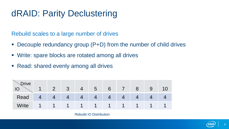# dRAID: Parity Declustering

Rebuild scales to a large number of drives

- Decouple redundancy group (P+D) from the number of child drives
- Write: spare blocks are rotated among all drives
- Read: shared evenly among all drives

| Drive | И | $2^{\circ}$ | 3 |            | 5 <sup>5</sup> | 6 |                |  |  |
|-------|---|-------------|---|------------|----------------|---|----------------|--|--|
| Read  |   |             | 4 | $\sqrt{4}$ | 4              | 4 | 4 <sup>1</sup> |  |  |
| Write | И |             |   |            |                |   |                |  |  |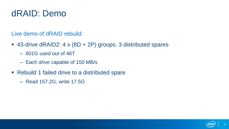Live demo of dRAID rebuild:

- 43-drive dRAID2: 4 x (8D + 2P) groups, 3 distributed spares
	- 601G used out of 46T
	- Each drive capable of 150 MB/s
- Rebuild 1 failed drive to a distributed spare
	- Read 157.2G, write 17.5G

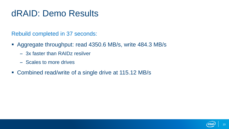#### dRAID: Demo Results

Rebuild completed in 37 seconds:

- Aggregate throughput: read 4350.6 MB/s, write 484.3 MB/s
	- 3x faster than RAIDz resilver
	- Scales to more drives
- Combined read/write of a single drive at 115.12 MB/s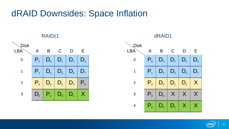#### dRAID Downsides: Space Inflation



dRAID1



**intel.**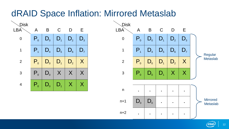## dRAID Space Inflation: Mirrored Metaslab



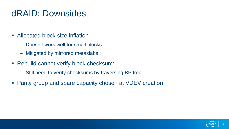# dRAID: Downsides

- Allocated block size inflation
	- Doesn't work well for small blocks
	- Mitigated by mirrored metaslabs
- **Rebuild cannot verify block checksum:** 
	- Still need to verify checksums by traversing BP tree
- **Parity group and spare capacity chosen at VDEV creation**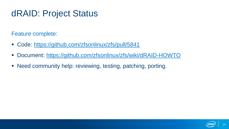## dRAID: Project Status

Feature complete:

- Code: <https://github.com/zfsonlinux/zfs/pull/5841>
- Document: <https://github.com/zfsonlinux/zfs/wiki/dRAID-HOWTO>
- Need community help: reviewing, testing, patching, porting.

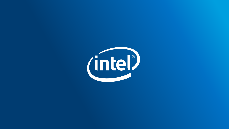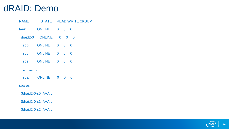| <b>STATE</b><br>NAME |                     |                | <b>READ WRITE CKSUM</b> |                |  |  |  |  |
|----------------------|---------------------|----------------|-------------------------|----------------|--|--|--|--|
| tank                 | <b>ONLINE</b>       |                | $0\quad 0$              | $\Omega$       |  |  |  |  |
| draid2-0             | <b>ONLINE</b>       |                | $0\quad 0$              | $\overline{0}$ |  |  |  |  |
| sdb                  | <b>ONLINE</b>       | $\overline{0}$ | $\mathbf{0}$            | 0              |  |  |  |  |
| sdd                  | <b>ONLINE</b>       |                | $0\quad 0\quad 0$       |                |  |  |  |  |
| sde                  | <b>ONLINE</b>       | $\overline{0}$ | $\overline{0}$          | 0              |  |  |  |  |
|                      |                     |                |                         |                |  |  |  |  |
| sdar                 | ONLINE 0            |                | $\Omega$                | $\Omega$       |  |  |  |  |
| spares               |                     |                |                         |                |  |  |  |  |
|                      | \$draid2-0-s0 AVAIL |                |                         |                |  |  |  |  |
|                      | \$draid2-0-s1 AVAIL |                |                         |                |  |  |  |  |
|                      | \$draid2-0-s2 AVAIL |                |                         |                |  |  |  |  |



 $16<sup>°</sup>$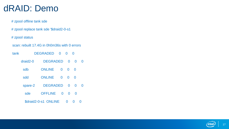- # zpool offline tank sde
- # zpool replace tank sde '\$draid2-0-s1
- # zpool status
- scan: rebuilt 17.4G in 0h0m36s with 0 errors

| tank |          | DEGRADED 0           |          | $\Omega$       | 0        |          |
|------|----------|----------------------|----------|----------------|----------|----------|
|      | draid2-0 | DEGRADED             |          | $\Omega$       | $\Omega$ | O        |
|      | sdb      | <b>ONLINE</b>        | $\Omega$ | $\Omega$       | 0        |          |
|      | sdd      | <b>ONLINE</b>        | $\Omega$ | 0              | 0        |          |
|      | spare-2  | <b>DEGRADED</b>      |          | $\overline{0}$ | $\Omega$ | $\Omega$ |
|      | sde      | OFFLINE              | $\Omega$ | $\Omega$       | $\Omega$ |          |
|      |          | \$draid2-0-s1 ONLINE |          | $\Omega$       | O        |          |